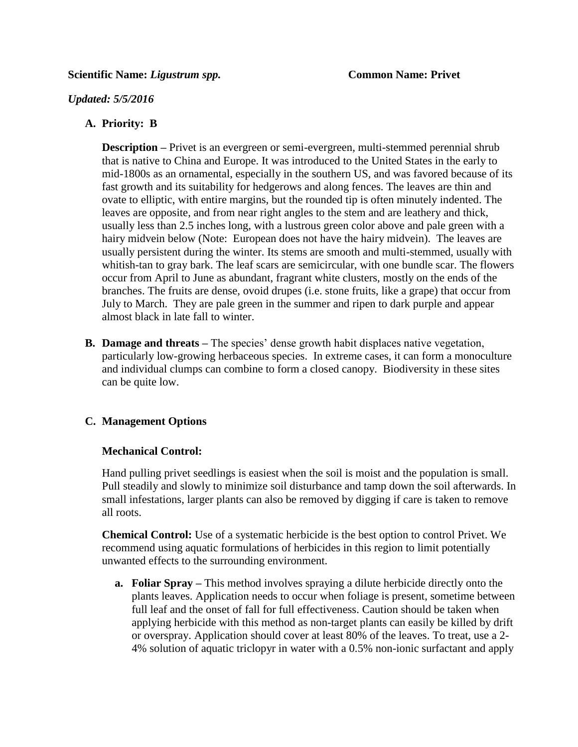#### **Scientific Name: Ligustrum spp. Common Name: Privet**

### *Updated: 5/5/2016*

## **A. Priority: B**

**Description** – Privet is an evergreen or semi-evergreen, multi-stemmed perennial shrub that is native to China and Europe. It was introduced to the United States in the early to mid-1800s as an ornamental, especially in the southern US, and was favored because of its fast growth and its suitability for hedgerows and along fences. The leaves are thin and ovate to elliptic, with entire margins, but the rounded tip is often minutely indented. The leaves are opposite, and from near right angles to the stem and are leathery and thick, usually less than 2.5 inches long, with a lustrous green color above and pale green with a hairy midvein below (Note: European does not have the hairy midvein). The leaves are usually persistent during the winter. Its stems are smooth and multi-stemmed, usually with whitish-tan to gray bark. The leaf scars are semicircular, with one bundle scar. The flowers occur from April to June as abundant, fragrant white clusters, mostly on the ends of the branches. The fruits are dense, ovoid drupes (i.e. stone fruits, like a grape) that occur from July to March. They are pale green in the summer and ripen to dark purple and appear almost black in late fall to winter.

**B. Damage and threats –** The species' dense growth habit displaces native vegetation, particularly low-growing herbaceous species. In extreme cases, it can form a monoculture and individual clumps can combine to form a closed canopy. Biodiversity in these sites can be quite low.

# **C. Management Options**

#### **Mechanical Control:**

Hand pulling privet seedlings is easiest when the soil is moist and the population is small. Pull steadily and slowly to minimize soil disturbance and tamp down the soil afterwards. In small infestations, larger plants can also be removed by digging if care is taken to remove all roots.

**Chemical Control:** Use of a systematic herbicide is the best option to control Privet. We recommend using aquatic formulations of herbicides in this region to limit potentially unwanted effects to the surrounding environment.

**a. Foliar Spray –** This method involves spraying a dilute herbicide directly onto the plants leaves. Application needs to occur when foliage is present, sometime between full leaf and the onset of fall for full effectiveness. Caution should be taken when applying herbicide with this method as non-target plants can easily be killed by drift or overspray. Application should cover at least 80% of the leaves. To treat, use a 2- 4% solution of aquatic triclopyr in water with a 0.5% non-ionic surfactant and apply